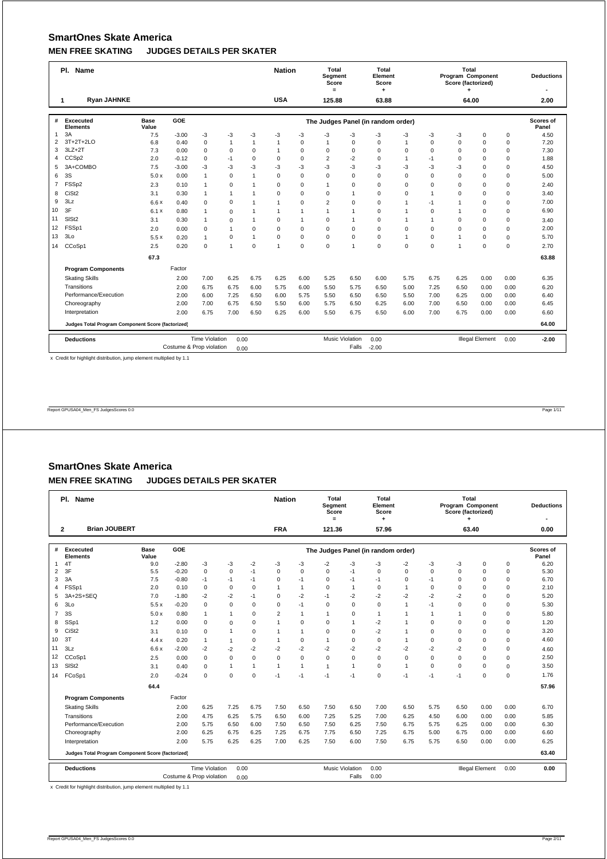|                | Pl. Name                                          |                      | <b>Nation</b>            |                       | Total<br>Segment<br>Score<br>$=$ |                | Total<br>Element<br>Score<br>٠ |              |                | Total<br>Program Component<br>Score (factorized) |                                    |              | <b>Deductions</b> |                |                        |             |                           |
|----------------|---------------------------------------------------|----------------------|--------------------------|-----------------------|----------------------------------|----------------|--------------------------------|--------------|----------------|--------------------------------------------------|------------------------------------|--------------|-------------------|----------------|------------------------|-------------|---------------------------|
|                | <b>Ryan JAHNKE</b><br>1                           |                      |                          |                       |                                  |                | <b>USA</b>                     |              | 125.88         |                                                  | 63.88                              |              |                   | 64.00          |                        |             | 2.00                      |
| #              | Excecuted<br><b>Elements</b>                      | <b>Base</b><br>Value | GOE                      |                       |                                  |                |                                |              |                |                                                  | The Judges Panel (in random order) |              |                   |                |                        |             | <b>Scores of</b><br>Panel |
| $\mathbf{1}$   | 3A                                                | 7.5                  | $-3.00$                  | $-3$                  | -3                               | -3             | -3                             | -3           | -3             | -3                                               | -3                                 | -3           | -3                | -3             | $\mathbf 0$            | $\mathbf 0$ | 4.50                      |
| 2              | 3T+2T+2LO                                         | 6.8                  | 0.40                     | $\mathbf 0$           | $\mathbf{1}$                     | $\overline{1}$ | $\mathbf{1}$                   | $\mathbf 0$  | $\overline{1}$ | $\Omega$                                         | $\mathbf 0$                        | 1            | $\Omega$          | $\Omega$       | $\mathbf 0$            | $\mathbf 0$ | 7.20                      |
| 3              | $3LZ+2T$                                          | 7.3                  | 0.00                     | $\mathbf 0$           | $\mathbf 0$                      | $\mathbf 0$    | $\mathbf{1}$                   | $\mathbf 0$  | 0              | $\mathbf 0$                                      | $\mathbf 0$                        | $\Omega$     | $\Omega$          | $\Omega$       | $\Omega$               | $\mathbf 0$ | 7.30                      |
| 4              | CCS <sub>p2</sub>                                 | 2.0                  | $-0.12$                  | $\mathbf 0$           | $-1$                             | $\mathbf 0$    | $\mathbf 0$                    | $\mathbf 0$  | $\overline{2}$ | $-2$                                             | $\mathbf 0$                        | $\mathbf{1}$ | $-1$              | 0              | $\mathbf 0$            | 0           | 1.88                      |
| 5              | 3A+COMBO                                          | 7.5                  | $-3.00$                  | $-3$                  | $-3$                             | $-3$           | -3                             | $-3$         | $-3$           | $-3$                                             | -3                                 | $-3$         | $-3$              | -3             | $\Omega$               | 0           | 4.50                      |
| 6              | 3S                                                | 5.0x                 | 0.00                     | $\mathbf{1}$          | $\mathbf 0$                      | 1              | $\Omega$                       | $\mathbf 0$  | $\mathbf 0$    | $\mathbf 0$                                      | $\Omega$                           | $\Omega$     | $\Omega$          | $\Omega$       | $\Omega$               | $\mathbf 0$ | 5.00                      |
| $\overline{7}$ | FSSp2                                             | 2.3                  | 0.10                     | $\mathbf{1}$          | $\mathbf 0$                      | $\overline{1}$ | $\Omega$                       | $\mathbf 0$  | 1              | $\Omega$                                         | $\Omega$                           | $\Omega$     | $\Omega$          | $\Omega$       | $\Omega$               | 0           | 2.40                      |
| 8              | CiSt <sub>2</sub>                                 | 3.1                  | 0.30                     | $\mathbf{1}$          | $\mathbf{1}$                     | 1              | $\mathbf 0$                    | $\mathbf 0$  | 0              | $\mathbf{1}$                                     | $\mathbf 0$                        | $\Omega$     | $\mathbf{1}$      | $\Omega$       | $\Omega$               | $\mathsf 0$ | 3.40                      |
| 9              | 3Lz                                               | 6.6x                 | 0.40                     | $\Omega$              | $\mathbf 0$                      | $\overline{1}$ | $\mathbf{1}$                   | $\Omega$     | $\overline{2}$ | $\Omega$                                         | $\Omega$                           | 1            | $-1$              | 1              | $\Omega$               | $\mathbf 0$ | 7.00                      |
| 10             | 3F                                                | 6.1x                 | 0.80                     | $\mathbf{1}$          | $\mathbf 0$                      | $\mathbf{1}$   | $\mathbf{1}$                   | $\mathbf{1}$ | 1              | $\overline{1}$                                   | $\mathbf 0$                        | $\mathbf{1}$ | $\Omega$          | $\overline{1}$ | $\Omega$               | $\mathbf 0$ | 6.90                      |
| 11             | SIS <sub>t2</sub>                                 | 3.1                  | 0.30                     | $\mathbf{1}$          | $\mathbf 0$                      | $\overline{1}$ | $\mathbf 0$                    | $\mathbf{1}$ | $\mathbf 0$    | $\overline{1}$                                   | $\mathbf 0$                        | $\mathbf{1}$ | $\mathbf{1}$      | $\Omega$       | $\mathbf 0$            | $\mathbf 0$ | 3.40                      |
| 12             | FSSp1                                             | 2.0                  | 0.00                     | $\mathbf 0$           | $\mathbf{1}$                     | $\mathbf 0$    | $\Omega$                       | $\mathbf 0$  | 0              | $\mathbf 0$                                      | $\mathbf 0$                        | $\Omega$     | $\Omega$          | $\Omega$       | $\Omega$               | $\mathbf 0$ | 2.00                      |
| 13             | 3Lo                                               | 5.5x                 | 0.20                     | $\mathbf{1}$          | 0                                | $\overline{1}$ | $\mathbf 0$                    | $\mathbf 0$  | $\Omega$       | $\mathbf 0$                                      | $\mathbf 0$                        | $\mathbf{1}$ | $\Omega$          | $\overline{1}$ | $\Omega$               | $\Omega$    | 5.70                      |
| 14             | CCoSp1                                            | 2.5                  | 0.20                     | $\mathbf 0$           | 1                                | $\Omega$       | $\overline{1}$                 | $\mathbf 0$  | $\mathbf 0$    | $\overline{1}$                                   | $\mathbf 0$                        | $\mathbf 0$  | 0                 | $\overline{1}$ | $\Omega$               | $\mathbf 0$ | 2.70                      |
|                |                                                   | 67.3                 |                          |                       |                                  |                |                                |              |                |                                                  |                                    |              |                   |                |                        |             | 63.88                     |
|                | <b>Program Components</b>                         |                      | Factor                   |                       |                                  |                |                                |              |                |                                                  |                                    |              |                   |                |                        |             |                           |
|                | <b>Skating Skills</b>                             |                      | 2.00                     | 7.00                  | 6.25                             | 6.75           | 6.25                           | 6.00         | 5.25           | 6.50                                             | 6.00                               | 5.75         | 6.75              | 6.25           | 0.00                   | 0.00        | 6.35                      |
|                | Transitions                                       |                      | 2.00                     | 6.75                  | 6.75                             | 6.00           | 5.75                           | 6.00         | 5.50           | 5.75                                             | 6.50                               | 5.00         | 7.25              | 6.50           | 0.00                   | 0.00        | 6.20                      |
|                | Performance/Execution                             |                      | 2.00                     | 6.00                  | 7.25                             | 6.50           | 6.00                           | 5.75         | 5.50           | 6.50                                             | 6.50                               | 5.50         | 7.00              | 6.25           | 0.00                   | 0.00        | 6.40                      |
|                | Choreography                                      |                      | 2.00                     | 7.00                  | 6.75                             | 6.50           | 5.50                           | 6.00         | 5.75           | 6.50                                             | 6.25                               | 6.00         | 7.00              | 6.50           | 0.00                   | 0.00        | 6.45                      |
|                | Interpretation                                    |                      | 2.00                     | 6.75                  | 7.00                             | 6.50           | 6.25                           | 6.00         | 5.50           | 6.75                                             | 6.50                               | 6.00         | 7.00              | 6.75           | 0.00                   | 0.00        | 6.60                      |
|                | Judges Total Program Component Score (factorized) |                      |                          |                       |                                  |                |                                |              |                |                                                  |                                    |              | 64.00             |                |                        |             |                           |
|                | <b>Deductions</b>                                 |                      |                          | <b>Time Violation</b> | 0.00                             |                |                                |              |                | <b>Music Violation</b>                           | 0.00                               |              |                   |                | <b>Illegal Element</b> | 0.00        | $-2.00$                   |
|                |                                                   |                      | Costume & Prop violation |                       | 0.00                             |                |                                |              |                | Falls                                            | $-2.00$                            |              |                   |                |                        |             |                           |

x Credit for highlight distribution, jump element multiplied by 1.1

Report GPUSA04\_Men\_FS JudgesScores 0.0 Page 1/11

# **SmartOnes Skate America MEN FREE SKATING JUDGES DETAILS PER SKATER**

|                | Pl. Name                                          |                      |                          |                       |              | <b>Nation</b> |                | Total<br>Segment<br>Score<br>$=$ |                        | Total<br>Element<br>Score |                                    |              | Total<br>Program Component<br>Score (factorized)<br>٠ |          |                        | <b>Deductions</b> |                           |
|----------------|---------------------------------------------------|----------------------|--------------------------|-----------------------|--------------|---------------|----------------|----------------------------------|------------------------|---------------------------|------------------------------------|--------------|-------------------------------------------------------|----------|------------------------|-------------------|---------------------------|
|                | <b>Brian JOUBERT</b><br>$\mathbf{2}$              |                      |                          |                       |              |               | <b>FRA</b>     |                                  | 121.36                 |                           | 57.96                              |              |                                                       | 63.40    |                        |                   | 0.00                      |
| #              | Excecuted<br><b>Elements</b>                      | <b>Base</b><br>Value | GOE                      |                       |              |               |                |                                  |                        |                           | The Judges Panel (in random order) |              |                                                       |          |                        |                   | <b>Scores of</b><br>Panel |
| 1.             | 4T                                                | 9.0                  | $-2.80$                  | -3                    | -3           | $-2$          | -3             | -3                               | $-2$                   | -3                        | $-3$                               | -2           | -3                                                    | -3       | $\mathbf 0$            | $\mathbf 0$       | 6.20                      |
| $\overline{2}$ | 3F                                                | 5.5                  | $-0.20$                  | $\mathbf 0$           | $\mathbf 0$  | $-1$          | $\Omega$       | $\mathbf 0$                      | $\Omega$               | $-1$                      | $\Omega$                           | $\Omega$     | $\Omega$                                              | $\Omega$ | $\Omega$               | $\mathbf 0$       | 5.30                      |
| 3              | 3A                                                | 7.5                  | $-0.80$                  | $-1$                  | $-1$         | $-1$          | 0              | $-1$                             | $\mathbf 0$            | $-1$                      | $-1$                               | $\Omega$     | $-1$                                                  | $\Omega$ | $\mathbf 0$            | $\mathbf 0$       | 6.70                      |
| 4              | FSSp1                                             | 2.0                  | 0.10                     | $\mathbf 0$           | $\mathbf 0$  | $\Omega$      | $\mathbf{1}$   | $\overline{1}$                   | $\mathbf 0$            | $\overline{1}$            | $\Omega$                           | $\mathbf{1}$ | $\Omega$                                              | $\Omega$ | $\Omega$               | $\mathbf 0$       | 2.10                      |
| 5              | 3A+2S+SEQ                                         | 7.0                  | $-1.80$                  | $-2$                  | $-2$         | -1            | $\Omega$       | $-2$                             | $-1$                   | $-2$                      | $-2$                               | $-2$         | $-2$                                                  | $-2$     | $\Omega$               | $\mathbf 0$       | 5.20                      |
| 6              | 3L <sub>0</sub>                                   | 5.5x                 | $-0.20$                  | $\mathbf 0$           | $\mathbf 0$  | $\Omega$      | $\Omega$       | $-1$                             | $\mathbf 0$            | $\Omega$                  | $\Omega$                           | $\mathbf{1}$ | $-1$                                                  | $\Omega$ | $\Omega$               | $\mathbf 0$       | 5.30                      |
| $\overline{7}$ | 3S                                                | 5.0x                 | 0.80                     | $\mathbf{1}$          | $\mathbf{1}$ | $\mathbf 0$   | $\overline{2}$ | $\overline{1}$                   | $\mathbf{1}$           | $\Omega$                  | $\mathbf{1}$                       | $\mathbf{1}$ | $\overline{1}$                                        | 1        | 0                      | 0                 | 5.80                      |
| 8              | SSp1                                              | 1.2                  | 0.00                     | $\mathbf 0$           | $\mathbf 0$  | $\mathbf 0$   | 1              | $\mathbf 0$                      | $\mathbf 0$            | $\overline{1}$            | $-2$                               | $\mathbf{1}$ | 0                                                     | $\Omega$ | 0                      | $\mathbf 0$       | 1.20                      |
| 9              | CiSt <sub>2</sub>                                 | 3.1                  | 0.10                     | $\mathbf 0$           | $\mathbf{1}$ | $\mathbf 0$   | 1              | $\mathbf{1}$                     | $\mathbf 0$            | $\mathbf 0$               | $-2$                               | $\mathbf{1}$ | $\Omega$                                              | $\Omega$ | $\mathbf 0$            | $\mathbf 0$       | 3.20                      |
| 10             | 3T                                                | 4.4x                 | 0.20                     | $\mathbf{1}$          | $\mathbf{1}$ | $\mathbf 0$   | 1              | $\mathbf 0$                      | $\mathbf{1}$           | $\mathbf 0$               | $\mathbf 0$                        | $\mathbf{1}$ | $\Omega$                                              | $\Omega$ | $\Omega$               | $\mathbf 0$       | 4.60                      |
| 11             | 3Lz                                               | 6.6x                 | $-2.00$                  | $-2$                  | $-2$         | $-2$          | $-2$           | $-2$                             | $-2$                   | $-2$                      | $-2$                               | $-2$         | $-2$                                                  | $-2$     | $\mathbf 0$            | $\mathbf 0$       | 4.60                      |
| 12             | CCoSp1                                            | 2.5                  | 0.00                     | $\mathbf 0$           | $\mathbf 0$  | $\mathbf 0$   | $\Omega$       | $\mathbf 0$                      | $\mathbf 0$            | $\mathbf 0$               | $\Omega$                           | $\mathbf 0$  | $\Omega$                                              | $\Omega$ | $\Omega$               | $\mathbf 0$       | 2.50                      |
| 13             | SIS <sub>t2</sub>                                 | 3.1                  | 0.40                     | $\mathbf 0$           | $\mathbf{1}$ | $\mathbf{1}$  | 1              | $\overline{1}$                   | $\mathbf{1}$           | $\overline{1}$            | $\Omega$                           | $\mathbf{1}$ | $\Omega$                                              | $\Omega$ | $\Omega$               | $\Omega$          | 3.50                      |
| 14             | FCoSp1                                            | 2.0                  | $-0.24$                  | $\mathbf 0$           | $\mathbf 0$  | $\Omega$      | $-1$           | $-1$                             | $-1$                   | $-1$                      | $\Omega$                           | $-1$         | $-1$                                                  | $-1$     | $\Omega$               | $\mathbf 0$       | 1.76                      |
|                |                                                   | 64.4                 |                          |                       |              |               |                |                                  |                        |                           |                                    |              |                                                       |          |                        |                   | 57.96                     |
|                | <b>Program Components</b>                         |                      | Factor                   |                       |              |               |                |                                  |                        |                           |                                    |              |                                                       |          |                        |                   |                           |
|                | <b>Skating Skills</b>                             |                      | 2.00                     | 6.25                  | 7.25         | 6.75          | 7.50           | 6.50                             | 7.50                   | 6.50                      | 7.00                               | 6.50         | 5.75                                                  | 6.50     | 0.00                   | 0.00              | 6.70                      |
|                | Transitions                                       |                      | 2.00                     | 4.75                  | 6.25         | 5.75          | 6.50           | 6.00                             | 7.25                   | 5.25                      | 7.00                               | 6.25         | 4.50                                                  | 6.00     | 0.00                   | 0.00              | 5.85                      |
|                | Performance/Execution                             |                      | 2.00                     | 5.75                  | 6.50         | 6.00          | 7.50           | 6.50                             | 7.50                   | 6.25                      | 7.50                               | 6.75         | 5.75                                                  | 6.25     | 0.00                   | 0.00              | 6.30                      |
|                | Choreography                                      |                      | 2.00                     | 6.25                  | 6.75         | 6.25          | 7.25           | 6.75                             | 7.75                   | 6.50                      | 7.25                               | 6.75         | 5.00                                                  | 6.75     | 0.00                   | 0.00              | 6.60                      |
|                | Interpretation                                    |                      | 2.00                     | 5.75                  | 6.25         | 6.25          | 7.00           | 6.25                             | 7.50                   | 6.00                      | 7.50                               | 6.75         | 5.75                                                  | 6.50     | 0.00                   | 0.00              | 6.25                      |
|                | Judges Total Program Component Score (factorized) |                      |                          |                       |              |               |                |                                  |                        |                           |                                    |              | 63.40                                                 |          |                        |                   |                           |
|                | <b>Deductions</b>                                 |                      |                          | <b>Time Violation</b> | 0.00         |               |                |                                  | <b>Music Violation</b> |                           | 0.00                               |              |                                                       |          | <b>Illegal Element</b> | 0.00              | 0.00                      |
|                |                                                   |                      | Costume & Prop violation |                       | 0.00         |               |                |                                  |                        | Falls                     | 0.00                               |              |                                                       |          |                        |                   |                           |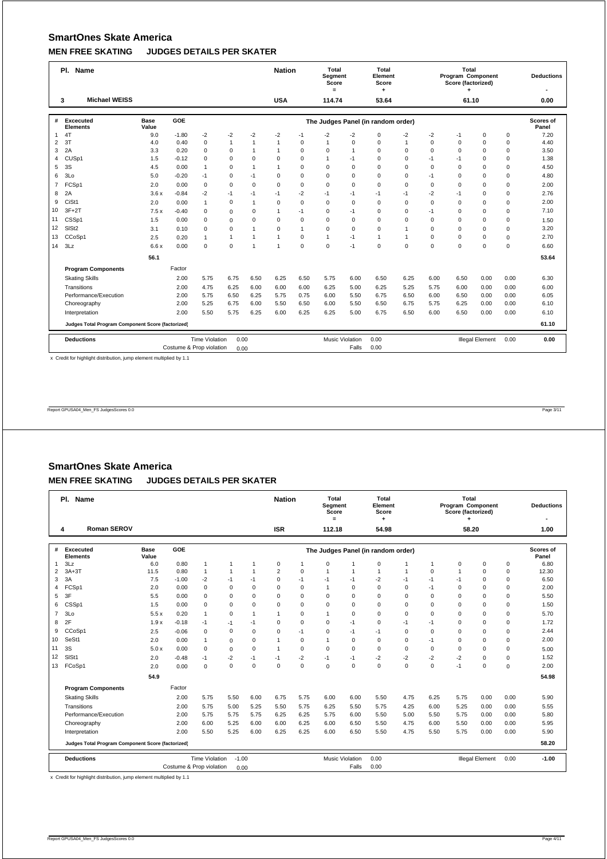|                | Pl. Name                                          |               | <b>Nation</b> |                       | Total<br>Segment<br>Score<br>$=$ |                | Total<br>Element<br>Score<br>٠ |              |                | Total<br>Program Component<br>Score (factorized) |                                    |              | <b>Deductions</b><br>$\overline{\phantom{a}}$ |          |                        |             |                    |
|----------------|---------------------------------------------------|---------------|---------------|-----------------------|----------------------------------|----------------|--------------------------------|--------------|----------------|--------------------------------------------------|------------------------------------|--------------|-----------------------------------------------|----------|------------------------|-------------|--------------------|
|                | <b>Michael WEISS</b><br>3                         |               |               |                       |                                  |                | <b>USA</b>                     |              | 114.74         |                                                  | 53.64                              |              |                                               | 61.10    |                        |             | 0.00               |
| #              | Excecuted<br><b>Elements</b>                      | Base<br>Value | GOE           |                       |                                  |                |                                |              |                |                                                  | The Judges Panel (in random order) |              |                                               |          |                        |             | Scores of<br>Panel |
| 1              | 4T                                                | 9.0           | $-1.80$       | $-2$                  | $-2$                             | $-2$           | $-2$                           | $-1$         | $-2$           | $-2$                                             | $\mathbf 0$                        | $-2$         | $-2$                                          | $-1$     | $\mathbf 0$            | $\mathbf 0$ | 7.20               |
| 2              | 3T                                                | 4.0           | 0.40          | $\mathbf 0$           | 1                                | $\overline{1}$ | $\overline{1}$                 | 0            | $\overline{1}$ | $\Omega$                                         | $\Omega$                           | 1            | $\Omega$                                      | $\Omega$ | $\mathbf 0$            | $\mathbf 0$ | 4.40               |
| 3              | 2A                                                | 3.3           | 0.20          | $\mathbf 0$           | $\mathbf 0$                      | $\mathbf{1}$   | $\mathbf{1}$                   | $\mathbf 0$  | $\mathbf 0$    | $\mathbf{1}$                                     | $\mathbf 0$                        | $\Omega$     | $\Omega$                                      | $\Omega$ | $\Omega$               | $\mathbf 0$ | 3.50               |
| 4              | CUS <sub>p1</sub>                                 | 1.5           | $-0.12$       | $\mathbf 0$           | 0                                | $\mathbf 0$    | $\mathbf 0$                    | 0            | $\mathbf{1}$   | $-1$                                             | $\mathbf 0$                        | $\mathbf 0$  | $-1$                                          | $-1$     | $\mathbf 0$            | $\mathbf 0$ | 1.38               |
| 5              | 3S                                                | 4.5           | 0.00          | $\mathbf{1}$          | $\mathbf 0$                      | $\mathbf{1}$   | $\mathbf{1}$                   | 0            | $\mathbf 0$    | $\mathbf 0$                                      | $\Omega$                           | $\Omega$     | $\Omega$                                      | $\Omega$ | $\mathbf 0$            | $\mathbf 0$ | 4.50               |
| 6              | 3Lo                                               | 5.0           | $-0.20$       | $-1$                  | $\mathbf 0$                      | $-1$           | $\Omega$                       | $\Omega$     | $\Omega$       | $\mathbf 0$                                      | $\Omega$                           | $\Omega$     | $-1$                                          | $\Omega$ | $\Omega$               | $\mathbf 0$ | 4.80               |
| $\overline{7}$ | FCSp1                                             | 2.0           | 0.00          | $\mathbf 0$           | $\mathbf 0$                      | $\mathbf 0$    | $\Omega$                       | $\mathbf 0$  | $\mathbf 0$    | $\mathbf 0$                                      | $\mathbf 0$                        | $\Omega$     | 0                                             | $\Omega$ | $\mathbf 0$            | $\mathbf 0$ | 2.00               |
| 8              | 2A                                                | 3.6x          | $-0.84$       | $-2$                  | $-1$                             | $-1$           | $-1$                           | $-2$         | $-1$           | $-1$                                             | $-1$                               | $-1$         | $-2$                                          | $-1$     | $\mathbf 0$            | $\mathbf 0$ | 2.76               |
| 9              | CiSt1                                             | 2.0           | 0.00          | $\mathbf{1}$          | 0                                | $\mathbf{1}$   | $\mathbf 0$                    | 0            | $\mathbf 0$    | $\mathbf 0$                                      | $\mathbf 0$                        | $\Omega$     | 0                                             | $\Omega$ | $\mathbf 0$            | $\mathbf 0$ | 2.00               |
| 10             | $3F+2T$                                           | 7.5x          | $-0.40$       | $\mathbf 0$           | $\mathbf 0$                      | $\mathbf 0$    | $\mathbf{1}$                   | $-1$         | $\mathbf 0$    | $-1$                                             | $\mathbf 0$                        | $\Omega$     | $-1$                                          | $\Omega$ | $\mathbf 0$            | $\mathbf 0$ | 7.10               |
| 11             | CSSp1                                             | 1.5           | 0.00          | $\Omega$              | $\mathbf 0$                      | $\Omega$       | $\Omega$                       | 0            | $\Omega$       | $\mathbf 0$                                      | $\Omega$                           | $\Omega$     | $\Omega$                                      | $\Omega$ | $\Omega$               | $\mathbf 0$ | 1.50               |
| 12             | SIS <sub>t2</sub>                                 | 3.1           | 0.10          | $\mathbf 0$           | $\mathbf 0$                      | 1              | $\Omega$                       | $\mathbf{1}$ | $\mathbf 0$    | $\mathbf 0$                                      | $\Omega$                           | 1            | $\Omega$                                      | $\Omega$ | $\Omega$               | $\mathbf 0$ | 3.20               |
| 13             | CCoSp1                                            | 2.5           | 0.20          | $\mathbf{1}$          | $\mathbf{1}$                     | $\overline{1}$ | $\mathbf{1}$                   | 0            | $\mathbf{1}$   | $-1$                                             | $\mathbf{1}$                       | $\mathbf{1}$ | $\Omega$                                      | $\Omega$ | $\Omega$               | $\mathbf 0$ | 2.70               |
| 14             | 3Lz                                               | 6.6x          | 0.00          | $\mathbf 0$           | $\mathbf 0$                      | 1              | $\overline{1}$                 | 0            | $\mathbf 0$    | $-1$                                             | $\Omega$                           | $\mathbf 0$  | $\Omega$                                      | $\Omega$ | $\Omega$               | $\mathbf 0$ | 6.60               |
|                |                                                   | 56.1          |               |                       |                                  |                |                                |              |                |                                                  |                                    |              |                                               |          |                        |             | 53.64              |
|                | <b>Program Components</b>                         |               | Factor        |                       |                                  |                |                                |              |                |                                                  |                                    |              |                                               |          |                        |             |                    |
|                | <b>Skating Skills</b>                             |               | 2.00          | 5.75                  | 6.75                             | 6.50           | 6.25                           | 6.50         | 5.75           | 6.00                                             | 6.50                               | 6.25         | 6.00                                          | 6.50     | 0.00                   | 0.00        | 6.30               |
|                | Transitions                                       |               | 2.00          | 4.75                  | 6.25                             | 6.00           | 6.00                           | 6.00         | 6.25           | 5.00                                             | 6.25                               | 5.25         | 5.75                                          | 6.00     | 0.00                   | 0.00        | 6.00               |
|                | Performance/Execution                             |               | 2.00          | 5.75                  | 6.50                             | 6.25           | 5.75                           | 0.75         | 6.00           | 5.50                                             | 6.75                               | 6.50         | 6.00                                          | 6.50     | 0.00                   | 0.00        | 6.05               |
|                | Choreography                                      |               | 2.00          | 5.25                  | 6.75                             | 6.00           | 5.50                           | 6.50         | 6.00           | 5.50                                             | 6.50                               | 6.75         | 5.75                                          | 6.25     | 0.00                   | 0.00        | 6.10               |
|                | Interpretation                                    |               | 2.00          | 5.50                  | 5.75                             | 6.25           | 6.00                           | 6.25         | 6.25           | 5.00                                             | 6.75                               | 6.50         | 6.00                                          | 6.50     | 0.00                   | 0.00        | 6.10               |
|                | Judges Total Program Component Score (factorized) |               |               |                       |                                  |                |                                |              |                |                                                  |                                    |              | 61.10                                         |          |                        |             |                    |
|                | <b>Deductions</b>                                 |               |               | <b>Time Violation</b> | 0.00                             |                |                                |              |                | <b>Music Violation</b>                           | 0.00                               |              |                                               |          | <b>Illegal Element</b> | 0.00        | 0.00               |
|                |                                                   | 0.00          |               |                       |                                  | Falls          | 0.00                           |              |                |                                                  |                                    |              |                                               |          |                        |             |                    |

x Credit for highlight distribution, jump element multiplied by 1.1

Report GPUSA04\_Men\_FS JudgesScores 0.0 Page 3/11

# **SmartOnes Skate America MEN FREE SKATING JUDGES DETAILS PER SKATER**

|                                                       | Pl. Name                                          |                      | <b>Nation</b>            |              | Total<br>Segment<br>Score<br>$=$ |              | Total<br>Element<br>Score<br>۰ |          |                | Total<br>Program Component<br>Score (factorized)<br>٠ |                                    |              | <b>Deductions</b> |                |                        |          |                    |
|-------------------------------------------------------|---------------------------------------------------|----------------------|--------------------------|--------------|----------------------------------|--------------|--------------------------------|----------|----------------|-------------------------------------------------------|------------------------------------|--------------|-------------------|----------------|------------------------|----------|--------------------|
|                                                       | <b>Roman SEROV</b><br>4                           |                      |                          |              |                                  |              | <b>ISR</b>                     |          | 112.18         |                                                       | 54.98                              |              |                   | 58.20          |                        |          | 1.00               |
|                                                       |                                                   |                      |                          |              |                                  |              |                                |          |                |                                                       |                                    |              |                   |                |                        |          |                    |
| #                                                     | Excecuted<br><b>Elements</b>                      | <b>Base</b><br>Value | <b>GOE</b>               |              |                                  |              |                                |          |                |                                                       | The Judges Panel (in random order) |              |                   |                |                        |          | Scores of<br>Panel |
| $\mathbf{1}$                                          | 3Lz                                               | 6.0                  | 0.80                     | $\mathbf{1}$ | 1                                | 1            | 0                              | 1        | $\Omega$       |                                                       | $\mathbf 0$                        |              | 1                 | 0              | $\mathbf 0$            | 0        | 6.80               |
| $\overline{2}$                                        | $3A+3T$                                           | 11.5                 | 0.80                     | $\mathbf{1}$ | $\mathbf{1}$                     | $\mathbf{1}$ | $\overline{2}$                 | 0        | $\mathbf{1}$   | 1                                                     | 1                                  | $\mathbf{1}$ | $\mathbf 0$       | $\overline{1}$ | $\mathbf 0$            | 0        | 12.30              |
| 3                                                     | 3A                                                | 7.5                  | $-1.00$                  | $-2$         | $-1$                             | $-1$         | $\mathbf 0$                    | $-1$     | $-1$           | $-1$                                                  | $-2$                               | $-1$         | $-1$              | $-1$           | 0                      | 0        | 6.50               |
| 4                                                     | FCSp1                                             | 2.0                  | 0.00                     | $\mathbf 0$  | $\mathbf 0$                      | $\mathbf 0$  | $\mathbf 0$                    | 0        | $\overline{1}$ | $\mathbf 0$                                           | $\mathbf 0$                        | $\mathbf 0$  | $-1$              | 0              | $\mathbf 0$            | 0        | 2.00               |
| 5                                                     | 3F                                                | 5.5                  | 0.00                     | $\Omega$     | $\Omega$                         | $\Omega$     | $\Omega$                       | $\Omega$ | $\Omega$       | $\Omega$                                              | $\Omega$                           | $\Omega$     | $\Omega$          | $\Omega$       | $\Omega$               | 0        | 5.50               |
| 6                                                     | CSSp1                                             | 1.5                  | 0.00                     | 0            | $\mathbf 0$                      | $\mathbf 0$  | $\Omega$                       | 0        | $\mathbf 0$    | 0                                                     | $\mathbf 0$                        | $\Omega$     | $\Omega$          | $\Omega$       | $\Omega$               | 0        | 1.50               |
| $\overline{7}$                                        | 3 <sub>LO</sub>                                   | 5.5x                 | 0.20                     | $\mathbf{1}$ | $\mathbf 0$                      | $\mathbf{1}$ | $\mathbf{1}$                   | 0        | $\mathbf{1}$   | $\mathbf 0$                                           | $\mathbf 0$                        | $\Omega$     | $\Omega$          | $\Omega$       | $\mathbf 0$            | 0        | 5.70               |
| 8                                                     | 2F                                                | 1.9x                 | $-0.18$                  | $-1$         | $-1$                             | $-1$         | $\Omega$                       | 0        | $\mathbf 0$    | $-1$                                                  | $\Omega$                           | $-1$         | $-1$              | $\Omega$       | $\Omega$               | 0        | 1.72               |
| 9                                                     | CCoSp1                                            | 2.5                  | $-0.06$                  | $\mathbf 0$  | $\mathbf 0$                      | $\mathbf 0$  | $\mathbf 0$                    | $-1$     | $\mathbf 0$    | $-1$                                                  | $-1$                               | $\mathbf 0$  | $\mathbf 0$       | $\Omega$       | $\Omega$               | 0        | 2.44               |
| 10                                                    | SeSt1                                             | 2.0                  | 0.00                     | 1            | $\mathbf 0$                      | 0            | $\overline{1}$                 | 0        | $\mathbf{1}$   | $\mathbf 0$                                           | $\mathbf 0$                        | 0            | $-1$              | $\Omega$       | $\Omega$               | 0        | 2.00               |
| 11                                                    | 3S                                                | 5.0x                 | 0.00                     | $\Omega$     | $\mathbf 0$                      | $\Omega$     | $\mathbf{1}$                   | $\Omega$ | $\Omega$       | $\Omega$                                              | $\Omega$                           | $\Omega$     | $\Omega$          | $\Omega$       | $\Omega$               | 0        | 5.00               |
| 12                                                    | SIS <sub>t1</sub>                                 | 2.0                  | $-0.48$                  | $-1$         | $-2$                             | $-1$         | $-1$                           | $-2$     | $-1$           | $-1$                                                  | $-2$                               | $-2$         | $-2$              | $-2$           | $\Omega$               | 0        | 1.52               |
| 13                                                    | FCoSp1                                            | 2.0                  | 0.00                     | $\mathbf 0$  | $\mathbf 0$                      | $\Omega$     | $\Omega$                       | 0        | $\Omega$       | $\Omega$                                              | $\Omega$                           | $\Omega$     | $\Omega$          | $-1$           | $\Omega$               | $\Omega$ | 2.00               |
|                                                       |                                                   | 54.9                 |                          |              |                                  |              |                                |          |                |                                                       |                                    |              |                   |                |                        |          | 54.98              |
|                                                       | <b>Program Components</b>                         |                      | Factor                   |              |                                  |              |                                |          |                |                                                       |                                    |              |                   |                |                        |          |                    |
|                                                       | <b>Skating Skills</b>                             |                      | 2.00                     | 5.75         | 5.50                             | 6.00         | 6.75                           | 5.75     | 6.00           | 6.00                                                  | 5.50                               | 4.75         | 6.25              | 5.75           | 0.00                   | 0.00     | 5.90               |
|                                                       | Transitions                                       |                      | 2.00                     | 5.75         | 5.00                             | 5.25         | 5.50                           | 5.75     | 6.25           | 5.50                                                  | 5.75                               | 4.25         | 6.00              | 5.25           | 0.00                   | 0.00     | 5.55               |
|                                                       | Performance/Execution                             |                      | 2.00                     | 5.75         | 5.75                             | 5.75         | 6.25                           | 6.25     | 5.75           | 6.00                                                  | 5.50                               | 5.00         | 5.50              | 5.75           | 0.00                   | 0.00     | 5.80               |
|                                                       | Choreography                                      |                      | 2.00                     | 6.00         | 5.25                             | 6.00         | 6.00                           | 6.25     | 6.00           | 6.50                                                  | 5.50                               | 4.75         | 6.00              | 5.50           | 0.00                   | 0.00     | 5.95               |
|                                                       | Interpretation                                    |                      | 2.00                     | 5.50         | 5.25                             | 6.00         | 6.25                           | 6.25     | 6.00           | 6.50                                                  | 5.50                               | 4.75         | 5.50              | 5.75           | 0.00                   | 0.00     | 5.90               |
|                                                       | Judges Total Program Component Score (factorized) |                      |                          |              |                                  |              |                                |          |                |                                                       |                                    |              |                   |                |                        |          | 58.20              |
| <b>Time Violation</b><br><b>Deductions</b><br>$-1.00$ |                                                   |                      |                          |              |                                  |              |                                |          |                | <b>Music Violation</b>                                | 0.00                               |              |                   |                | <b>Illegal Element</b> | 0.00     | $-1.00$            |
|                                                       |                                                   |                      | Costume & Prop violation |              | 0.00                             |              |                                |          |                | Falls                                                 | 0.00                               |              |                   |                |                        |          |                    |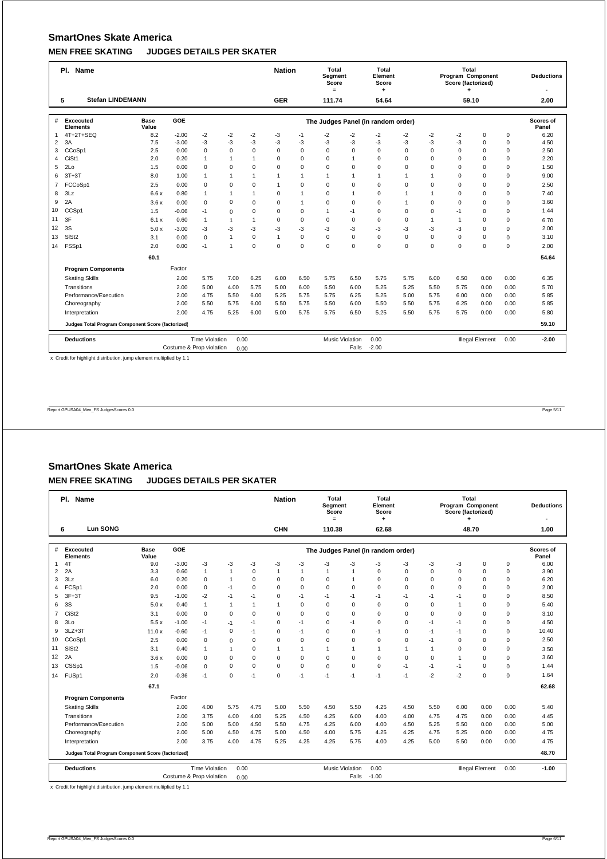|                | Pl. Name                                          |               |         | <b>Nation</b>         |                | Total<br>Segment<br>Score<br>$=$ |              | Total<br>Element<br>Score<br>۰ |                |                        | Total<br>Program Component<br>Score (factorized) |              |              | <b>Deductions</b><br>$\overline{\phantom{a}}$ |                        |             |                    |
|----------------|---------------------------------------------------|---------------|---------|-----------------------|----------------|----------------------------------|--------------|--------------------------------|----------------|------------------------|--------------------------------------------------|--------------|--------------|-----------------------------------------------|------------------------|-------------|--------------------|
|                | <b>Stefan LINDEMANN</b><br>5                      |               |         |                       |                |                                  | <b>GER</b>   |                                | 111.74         |                        | 54.64                                            |              |              | 59.10                                         |                        |             | 2.00               |
| #              | Excecuted<br><b>Elements</b>                      | Base<br>Value | GOE     |                       |                |                                  |              |                                |                |                        | The Judges Panel (in random order)               |              |              |                                               |                        |             | Scores of<br>Panel |
| 1              | 4T+2T+SEQ                                         | 8.2           | $-2.00$ | $-2$                  | $-2$           | $-2$                             | -3           | $-1$                           | $-2$           | $-2$                   | $-2$                                             | $-2$         | $-2$         | $-2$                                          | $\mathbf 0$            | $\mathbf 0$ | 6.20               |
| 2              | 3A                                                | 7.5           | $-3.00$ | $-3$                  | $-3$           | $-3$                             | -3           | -3                             | $-3$           | $-3$                   | -3                                               | $-3$         | $-3$         | $-3$                                          | $\Omega$               | $\mathbf 0$ | 4.50               |
| 3              | CCoSp1                                            | 2.5           | 0.00    | $\mathbf 0$           | $\mathbf 0$    | $\mathbf 0$                      | $\Omega$     | 0                              | $\Omega$       | $\Omega$               | $\Omega$                                         | $\Omega$     | $\Omega$     | $\Omega$                                      | $\Omega$               | $\mathbf 0$ | 2.50               |
| 4              | CiSt1                                             | 2.0           | 0.20    | $\mathbf{1}$          | $\mathbf{1}$   | $\overline{1}$                   | $\mathbf 0$  | 0                              | $\mathbf 0$    | $\mathbf{1}$           | $\mathbf 0$                                      | $\Omega$     | $\Omega$     | $\Omega$                                      | $\mathbf 0$            | $\mathbf 0$ | 2.20               |
| 5              | 2 <sub>0</sub>                                    | 1.5           | 0.00    | $\Omega$              | $\mathbf 0$    | $\Omega$                         | $\Omega$     | 0                              | $\mathbf 0$    | $\mathbf 0$            | $\Omega$                                         | $\Omega$     | $\Omega$     | $\Omega$                                      | $\mathbf 0$            | $\mathbf 0$ | 1.50               |
| 6              | $3T+3T$                                           | 8.0           | 1.00    | $\overline{1}$        | 1              | $\overline{1}$                   | $\mathbf{1}$ | $\mathbf{1}$                   | $\mathbf{1}$   | $\mathbf{1}$           | $\mathbf{1}$                                     | 1            | 1            | $\Omega$                                      | $\Omega$               | $\mathbf 0$ | 9.00               |
| $\overline{7}$ | FCCoSp1                                           | 2.5           | 0.00    | $\mathbf 0$           | $\mathbf 0$    | $\mathbf 0$                      | $\mathbf{1}$ | $\mathbf 0$                    | $\mathbf 0$    | $\mathbf 0$            | $\mathbf 0$                                      | $\mathbf 0$  | $\Omega$     | $\Omega$                                      | $\mathbf 0$            | $\mathbf 0$ | 2.50               |
| 8              | 3Lz                                               | 6.6x          | 0.80    | $\mathbf{1}$          | $\overline{1}$ | $\overline{1}$                   | $\mathbf 0$  | $\mathbf{1}$                   | $\mathbf 0$    | $\mathbf{1}$           | $\mathbf 0$                                      | $\mathbf{1}$ | $\mathbf{1}$ | $\mathbf 0$                                   | $\mathbf 0$            | $\mathbf 0$ | 7.40               |
| 9              | 2A                                                | 3.6x          | 0.00    | $\mathbf 0$           | $\mathbf 0$    | $\mathbf 0$                      | $\Omega$     | $\mathbf{1}$                   | $\mathbf 0$    | $\mathbf 0$            | $\mathbf 0$                                      | $\mathbf{1}$ | $\Omega$     | $\Omega$                                      | $\mathbf 0$            | $\mathbf 0$ | 3.60               |
| 10             | CCSp1                                             | 1.5           | $-0.06$ | $-1$                  | $\mathbf 0$    | $\mathbf 0$                      | $\Omega$     | $\mathbf 0$                    | $\overline{1}$ | $-1$                   | $\mathbf 0$                                      | $\mathbf 0$  | $\Omega$     | $-1$                                          | $\mathbf 0$            | $\mathbf 0$ | 1.44               |
| 11             | 3F                                                | 6.1x          | 0.60    | $\mathbf{1}$          | $\mathbf{1}$   | $\mathbf{1}$                     | $\Omega$     | 0                              | $\mathbf 0$    | $\mathbf 0$            | $\Omega$                                         | $\Omega$     | $\mathbf{1}$ | $\overline{1}$                                | $\Omega$               | $\mathbf 0$ | 6.70               |
| 12             | 3S                                                | 5.0x          | $-3.00$ | $-3$                  | $-3$           | $-3$                             | -3           | -3                             | -3             | $-3$                   | -3                                               | -3           | -3           | -3                                            | $\Omega$               | $\mathbf 0$ | 2.00               |
| 13             | SIS <sub>t2</sub>                                 | 3.1           | 0.00    | $\mathbf 0$           | $\mathbf{1}$   | $\Omega$                         | $\mathbf{1}$ | 0                              | $\Omega$       | $\Omega$               | $\Omega$                                         | $\Omega$     | $\Omega$     | $\Omega$                                      | $\Omega$               | $\mathbf 0$ | 3.10               |
| 14             | FSSp1                                             | 2.0           | 0.00    | $-1$                  | 1              | $\Omega$                         | $\Omega$     | $\mathbf 0$                    | $\mathbf 0$    | $\mathbf 0$            | $\Omega$                                         | $\mathbf 0$  | $\Omega$     | $\Omega$                                      | $\Omega$               | $\mathbf 0$ | 2.00               |
|                |                                                   | 60.1          |         |                       |                |                                  |              |                                |                |                        |                                                  |              |              |                                               |                        |             | 54.64              |
|                | <b>Program Components</b>                         |               | Factor  |                       |                |                                  |              |                                |                |                        |                                                  |              |              |                                               |                        |             |                    |
|                | <b>Skating Skills</b>                             |               | 2.00    | 5.75                  | 7.00           | 6.25                             | 6.00         | 6.50                           | 5.75           | 6.50                   | 5.75                                             | 5.75         | 6.00         | 6.50                                          | 0.00                   | 0.00        | 6.35               |
|                | Transitions                                       |               | 2.00    | 5.00                  | 4.00           | 5.75                             | 5.00         | 6.00                           | 5.50           | 6.00                   | 5.25                                             | 5.25         | 5.50         | 5.75                                          | 0.00                   | 0.00        | 5.70               |
|                | Performance/Execution                             |               | 2.00    | 4.75                  | 5.50           | 6.00                             | 5.25         | 5.75                           | 5.75           | 6.25                   | 5.25                                             | 5.00         | 5.75         | 6.00                                          | 0.00                   | 0.00        | 5.85               |
|                | Choreography                                      |               | 2.00    | 5.50                  | 5.75           | 6.00                             | 5.50         | 5.75                           | 5.50           | 6.00                   | 5.50                                             | 5.50         | 5.75         | 6.25                                          | 0.00                   | 0.00        | 5.85               |
|                | Interpretation                                    |               | 2.00    | 4.75                  | 5.25           | 6.00                             | 5.00         | 5.75                           | 5.75           | 6.50                   | 5.25                                             | 5.50         | 5.75         | 5.75                                          | 0.00                   | 0.00        | 5.80               |
|                | Judges Total Program Component Score (factorized) |               |         |                       |                |                                  |              |                                |                |                        |                                                  |              | 59.10        |                                               |                        |             |                    |
|                | <b>Deductions</b>                                 |               |         | <b>Time Violation</b> | 0.00           |                                  |              |                                |                | <b>Music Violation</b> | 0.00                                             |              |              |                                               | <b>Illegal Element</b> | 0.00        | $-2.00$            |
|                |                                                   | 0.00          |         |                       |                | Falls                            | $-2.00$      |                                |                |                        |                                                  |              |              |                                               |                        |             |                    |

x Credit for highlight distribution, jump element multiplied by 1.1

Report GPUSA04\_Men\_FS JudgesScores 0.0 Page 5/11

# **SmartOnes Skate America MEN FREE SKATING JUDGES DETAILS PER SKATER**

|                | Pl. Name                                          |                      |                          |                       |              |              | <b>Nation</b> |                | <b>Total</b><br>Segment<br>Score<br>$=$ |                | Total<br>Element<br>Score          |              |                | Total<br>Program Component<br>Score (factorized)<br>٠ |                        |             | <b>Deductions</b>         |
|----------------|---------------------------------------------------|----------------------|--------------------------|-----------------------|--------------|--------------|---------------|----------------|-----------------------------------------|----------------|------------------------------------|--------------|----------------|-------------------------------------------------------|------------------------|-------------|---------------------------|
|                | <b>Lun SONG</b><br>6                              |                      |                          |                       |              |              | <b>CHN</b>    |                | 110.38                                  |                | 62.68                              |              |                | 48.70                                                 |                        |             | 1.00                      |
| #              | Excecuted<br><b>Elements</b>                      | <b>Base</b><br>Value | GOE                      |                       |              |              |               |                |                                         |                | The Judges Panel (in random order) |              |                |                                                       |                        |             | <b>Scores of</b><br>Panel |
| $\mathbf{1}$   | 4T                                                | 9.0                  | $-3.00$                  | -3                    | -3           | -3           | -3            | -3             | -3                                      | -3             | $-3$                               | -3           | -3             | -3                                                    | $\mathbf 0$            | $\mathbf 0$ | 6.00                      |
| $\overline{2}$ | 2A                                                | 3.3                  | 0.60                     | $\mathbf{1}$          | $\mathbf{1}$ | $\Omega$     | 1             | $\overline{1}$ | 1                                       | $\overline{1}$ | $\Omega$                           | $\Omega$     | $\Omega$       | $\Omega$                                              | $\Omega$               | $\mathbf 0$ | 3.90                      |
| 3              | 3Lz                                               | 6.0                  | 0.20                     | $\mathbf 0$           | $\mathbf{1}$ | $\Omega$     | 0             | $\mathbf 0$    | $\mathbf 0$                             |                | $\Omega$                           | $\Omega$     | $\Omega$       | $\Omega$                                              | $\mathbf 0$            | $\mathbf 0$ | 6.20                      |
| 4              | FCSp1                                             | 2.0                  | 0.00                     | $\mathbf 0$           | $-1$         | $\Omega$     | $\Omega$      | $\mathbf 0$    | $\Omega$                                | $\Omega$       | $\Omega$                           | $\Omega$     | $\Omega$       | $\Omega$                                              | $\Omega$               | $\mathbf 0$ | 2.00                      |
| 5              | $3F+3T$                                           | 9.5                  | $-1.00$                  | $-2$                  | $-1$         | $-1$         | 0             | $-1$           | $-1$                                    | $-1$           | $-1$                               | $-1$         | $-1$           | $-1$                                                  | $\Omega$               | $\mathbf 0$ | 8.50                      |
| 6              | 3S                                                | 5.0x                 | 0.40                     | $\mathbf{1}$          | $\mathbf{1}$ | $\mathbf{1}$ | 1             | $\mathbf 0$    | $\mathbf 0$                             | $\Omega$       | $\Omega$                           | $\Omega$     | $\Omega$       | $\overline{1}$                                        | $\Omega$               | $\mathbf 0$ | 5.40                      |
| $\overline{7}$ | CiSt <sub>2</sub>                                 | 3.1                  | 0.00                     | $\mathbf 0$           | $\mathbf 0$  | $\mathbf 0$  | $\Omega$      | 0              | $\mathbf 0$                             | $\Omega$       | $\Omega$                           | $\Omega$     | $\Omega$       | $\Omega$                                              | $\Omega$               | 0           | 3.10                      |
| 8              | 3 <sub>LO</sub>                                   | 5.5x                 | $-1.00$                  | $-1$                  | $-1$         | $-1$         | 0             | $-1$           | $\mathbf 0$                             | $-1$           | 0                                  | $\mathbf 0$  | $-1$           | $-1$                                                  | 0                      | $\mathbf 0$ | 4.50                      |
| 9              | $3LZ+3T$                                          | 11.0x                | $-0.60$                  | $-1$                  | $\mathbf 0$  | -1           | 0             | $-1$           | $\mathbf 0$                             | $\mathbf 0$    | $-1$                               | $\mathbf 0$  | $-1$           | $-1$                                                  | $\mathbf 0$            | $\mathbf 0$ | 10.40                     |
| 10             | CCoSp1                                            | 2.5                  | 0.00                     | $\mathbf 0$           | $\mathbf 0$  | $\mathbf 0$  | $\Omega$      | $\mathbf 0$    | $\mathbf 0$                             | $\mathbf 0$    | $\mathbf 0$                        | $\mathbf 0$  | $-1$           | $\Omega$                                              | $\mathbf 0$            | $\mathbf 0$ | 2.50                      |
| 11             | SIS <sub>t2</sub>                                 | 3.1                  | 0.40                     | 1                     | $\mathbf{1}$ | $\mathbf 0$  | 1             | $\overline{1}$ | $\mathbf{1}$                            | -1             | 1                                  | $\mathbf{1}$ | $\overline{1}$ | $\Omega$                                              | $\mathbf 0$            | $\mathbf 0$ | 3.50                      |
| 12             | 2A                                                | 3.6x                 | 0.00                     | $\mathbf 0$           | $\mathbf 0$  | $\mathbf 0$  | $\Omega$      | $\mathbf 0$    | $\mathbf 0$                             | $\mathbf 0$    | $\Omega$                           | $\Omega$     | $\Omega$       | $\mathbf{1}$                                          | $\Omega$               | $\mathbf 0$ | 3.60                      |
| 13             | CSSp1                                             | 1.5                  | $-0.06$                  | $\mathbf 0$           | $\mathbf 0$  | $\Omega$     | $\Omega$      | $\mathbf 0$    | $\Omega$                                | $\Omega$       | $\Omega$                           | $-1$         | $-1$           | $-1$                                                  | $\Omega$               | $\Omega$    | 1.44                      |
| 14             | FUSp1                                             | 2.0                  | $-0.36$                  | $-1$                  | $\mathbf 0$  | $-1$         | $\Omega$      | $-1$           | $-1$                                    | $-1$           | $-1$                               | $-1$         | $-2$           | $-2$                                                  | $\Omega$               | $\mathbf 0$ | 1.64                      |
|                |                                                   | 67.1                 |                          |                       |              |              |               |                |                                         |                |                                    |              |                |                                                       |                        |             | 62.68                     |
|                | <b>Program Components</b>                         |                      | Factor                   |                       |              |              |               |                |                                         |                |                                    |              |                |                                                       |                        |             |                           |
|                | <b>Skating Skills</b>                             |                      | 2.00                     | 4.00                  | 5.75         | 4.75         | 5.00          | 5.50           | 4.50                                    | 5.50           | 4.25                               | 4.50         | 5.50           | 6.00                                                  | 0.00                   | 0.00        | 5.40                      |
|                | Transitions                                       |                      | 2.00                     | 3.75                  | 4.00         | 4.00         | 5.25          | 4.50           | 4.25                                    | 6.00           | 4.00                               | 4.00         | 4.75           | 4.75                                                  | 0.00                   | 0.00        | 4.45                      |
|                | Performance/Execution                             |                      | 2.00                     | 5.00                  | 5.00         | 4.50         | 5.50          | 4.75           | 4.25                                    | 6.00           | 4.00                               | 4.50         | 5.25           | 5.50                                                  | 0.00                   | 0.00        | 5.00                      |
|                | Choreography                                      |                      | 2.00                     | 5.00                  | 4.50         | 4.75         | 5.00          | 4.50           | 4.00                                    | 5.75           | 4.25                               | 4.25         | 4.75           | 5.25                                                  | 0.00                   | 0.00        | 4.75                      |
|                | Interpretation                                    |                      | 2.00                     | 3.75                  | 4.00         | 4.75         | 5.25          | 4.25           | 4.25                                    | 5.75           | 4.00                               | 4.25         | 5.00           | 5.50                                                  | 0.00                   | 0.00        | 4.75                      |
|                | Judges Total Program Component Score (factorized) |                      |                          |                       |              |              |               |                |                                         |                |                                    | 48.70        |                |                                                       |                        |             |                           |
|                | <b>Deductions</b>                                 |                      |                          | <b>Time Violation</b> | 0.00         |              |               |                | <b>Music Violation</b>                  |                | 0.00                               |              |                |                                                       | <b>Illegal Element</b> | 0.00        | $-1.00$                   |
|                |                                                   |                      | Costume & Prop violation |                       | 0.00         |              |               |                |                                         | Falls          | $-1.00$                            |              |                |                                                       |                        |             |                           |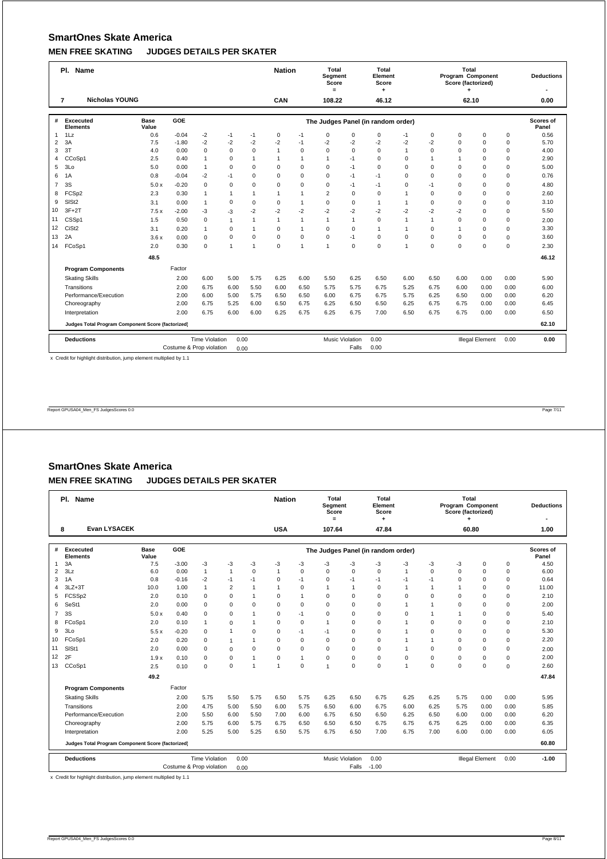|                                                                             | Pl. Name                                          |                      |         |                       |              |              | <b>Nation</b> |              | Total<br><b>Segment</b><br>Score<br>$=$ |              | Total<br>Element<br>Score          |              |                | Total<br>Program Component<br>Score (factorized) |                        |             | <b>Deductions</b>  |
|-----------------------------------------------------------------------------|---------------------------------------------------|----------------------|---------|-----------------------|--------------|--------------|---------------|--------------|-----------------------------------------|--------------|------------------------------------|--------------|----------------|--------------------------------------------------|------------------------|-------------|--------------------|
|                                                                             | <b>Nicholas YOUNG</b><br>$\overline{7}$           |                      |         |                       |              |              | CAN           |              | 108.22                                  |              | 46.12                              |              |                | 62.10                                            |                        |             | 0.00               |
| #                                                                           | Excecuted<br><b>Elements</b>                      | <b>Base</b><br>Value | GOE     |                       |              |              |               |              |                                         |              | The Judges Panel (in random order) |              |                |                                                  |                        |             | Scores of<br>Panel |
| 1                                                                           | 1Lz                                               | 0.6                  | $-0.04$ | $-2$                  | -1           | $-1$         | $\mathbf 0$   | $-1$         | $\mathbf 0$                             | $\mathbf 0$  | $\mathbf 0$                        | $-1$         | 0              | $\mathbf 0$                                      | $\mathbf 0$            | 0           | 0.56               |
| $\overline{2}$                                                              | 3A                                                | 7.5                  | $-1.80$ | $-2$                  | $-2$         | $-2$         | $-2$          | $-1$         | $-2$                                    | $-2$         | $-2$                               | $-2$         | $-2$           | $\Omega$                                         | $\mathbf 0$            | $\mathbf 0$ | 5.70               |
| 3                                                                           | 3T                                                | 4.0                  | 0.00    | $\mathbf 0$           | $\mathbf 0$  | $\Omega$     | $\mathbf{1}$  | 0            | $\Omega$                                | $\Omega$     | $\Omega$                           | $\mathbf{1}$ | $\Omega$       | $\Omega$                                         | $\Omega$               | $\mathbf 0$ | 4.00               |
| 4                                                                           | CCoSp1                                            | 2.5                  | 0.40    | $\mathbf{1}$          | 0            | $\mathbf{1}$ | $\mathbf{1}$  | 1            | $\mathbf{1}$                            | $-1$         | $\mathbf 0$                        | $\mathbf 0$  | $\overline{1}$ | $\overline{1}$                                   | $\mathbf 0$            | 0           | 2.90               |
| 5                                                                           | 3 <sub>LO</sub>                                   | 5.0                  | 0.00    | $\mathbf{1}$          | 0            | $\Omega$     | $\Omega$      | 0            | $\mathbf 0$                             | $-1$         | $\Omega$                           | $\Omega$     | $\Omega$       | $\Omega$                                         | $\Omega$               | 0           | 5.00               |
| 6                                                                           | 1A                                                | 0.8                  | $-0.04$ | $-2$                  | $-1$         | $\Omega$     | $\Omega$      | $\Omega$     | $\Omega$                                | $-1$         | $-1$                               | $\Omega$     | $\Omega$       | $\Omega$                                         | $\Omega$               | $\mathbf 0$ | 0.76               |
| $\overline{7}$                                                              | 3S                                                | 5.0x                 | $-0.20$ | $\mathbf 0$           | $\mathbf 0$  | $\Omega$     | $\Omega$      | 0            | $\mathbf 0$                             | $-1$         | $-1$                               | $\mathbf 0$  | $-1$           | $\Omega$                                         | $\mathbf 0$            | $\mathbf 0$ | 4.80               |
| 8                                                                           | FCSp2                                             | 2.3                  | 0.30    | $\mathbf{1}$          | $\mathbf{1}$ | $\mathbf{1}$ | $\mathbf{1}$  | $\mathbf{1}$ | $\overline{2}$                          | $\mathbf 0$  | $\mathbf 0$                        | $\mathbf{1}$ | 0              | $\Omega$                                         | $\mathbf 0$            | $\mathbf 0$ | 2.60               |
| 9                                                                           | SIS <sub>t2</sub>                                 | 3.1                  | 0.00    | $\mathbf{1}$          | $\mathbf 0$  | $\Omega$     | $\Omega$      | $\mathbf{1}$ | $\mathbf 0$                             | $\Omega$     | $\overline{1}$                     | $\mathbf{1}$ | $\Omega$       | $\Omega$                                         | $\Omega$               | $\mathbf 0$ | 3.10               |
| 10                                                                          | $3F+2T$                                           | 7.5x                 | $-2.00$ | $-3$                  | $-3$         | $-2$         | $-2$          | $-2$         | $-2$                                    | $-2$         | $-2$                               | $-2$         | $-2$           | $-2$                                             | $\Omega$               | $\mathbf 0$ | 5.50               |
| 11                                                                          | CSSp1                                             | 1.5                  | 0.50    | $\mathbf 0$           | 1            | $\mathbf{1}$ | $\mathbf{1}$  | $\mathbf{1}$ | $\mathbf{1}$                            | $\mathbf{1}$ | $\mathbf 0$                        | $\mathbf{1}$ | $\mathbf{1}$   | $\Omega$                                         | $\Omega$               | $\mathbf 0$ | 2.00               |
| 12                                                                          | CiSt <sub>2</sub>                                 | 3.1                  | 0.20    | $\mathbf{1}$          | $\mathbf 0$  | $\mathbf{1}$ | $\mathbf 0$   | $\mathbf{1}$ | $\mathbf 0$                             | $\mathbf 0$  | $\mathbf{1}$                       | $\mathbf{1}$ | 0              | $\overline{1}$                                   | $\mathbf 0$            | $\mathbf 0$ | 3.30               |
| 13                                                                          | 2A                                                | 3.6x                 | 0.00    | $\mathbf 0$           | $\mathbf 0$  | $\mathbf 0$  | $\Omega$      | 0            | $\mathbf 0$                             | $-1$         | $\mathbf 0$                        | $\Omega$     | $\Omega$       | $\Omega$                                         | $\mathbf 0$            | $\mathbf 0$ | 3.60               |
| 14                                                                          | FCoSp1                                            | 2.0                  | 0.30    | $\mathbf 0$           | 1            | 1            | $\Omega$      | 1            | $\overline{1}$                          | $\Omega$     | $\Omega$                           | 1            | $\Omega$       | $\Omega$                                         | $\Omega$               | $\mathbf 0$ | 2.30               |
|                                                                             |                                                   | 48.5                 |         |                       |              |              |               |              |                                         |              |                                    |              |                |                                                  |                        |             | 46.12              |
|                                                                             | <b>Program Components</b>                         |                      | Factor  |                       |              |              |               |              |                                         |              |                                    |              |                |                                                  |                        |             |                    |
|                                                                             | <b>Skating Skills</b>                             |                      | 2.00    | 6.00                  | 5.00         | 5.75         | 6.25          | 6.00         | 5.50                                    | 6.25         | 6.50                               | 6.00         | 6.50           | 6.00                                             | 0.00                   | 0.00        | 5.90               |
|                                                                             | Transitions                                       |                      | 2.00    | 6.75                  | 6.00         | 5.50         | 6.00          | 6.50         | 5.75                                    | 5.75         | 6.75                               | 5.25         | 6.75           | 6.00                                             | 0.00                   | 0.00        | 6.00               |
|                                                                             | Performance/Execution                             |                      | 2.00    | 6.00                  | 5.00         | 5.75         | 6.50          | 6.50         | 6.00                                    | 6.75         | 6.75                               | 5.75         | 6.25           | 6.50                                             | 0.00                   | 0.00        | 6.20               |
|                                                                             | Choreography                                      |                      | 2.00    | 6.75                  | 5.25         | 6.00         | 6.50          | 6.75         | 6.25                                    | 6.50         | 6.50                               | 6.25         | 6.75           | 6.75                                             | 0.00                   | 0.00        | 6.45               |
|                                                                             | Interpretation                                    |                      | 2.00    | 6.75                  | 6.00         | 6.00         | 6.25          | 6.75         | 6.25                                    | 6.75         | 7.00                               | 6.50         | 6.75           | 6.75                                             | 0.00                   | 0.00        | 6.50               |
|                                                                             | Judges Total Program Component Score (factorized) |                      |         |                       |              |              |               |              |                                         |              |                                    |              |                |                                                  |                        |             | 62.10              |
|                                                                             | <b>Deductions</b>                                 |                      |         | <b>Time Violation</b> | 0.00         |              |               |              |                                         |              | 0.00                               |              |                |                                                  | <b>Illegal Element</b> | 0.00        | 0.00               |
| <b>Music Violation</b><br>0.00<br>Costume & Prop violation<br>Falls<br>0.00 |                                                   |                      |         |                       |              |              |               |              |                                         |              |                                    |              |                |                                                  |                        |             |                    |

x Credit for highlight distribution, jump element multiplied by 1.1

Report GPUSA04\_Men\_FS JudgesScores 0.0 Page 7/11

# **SmartOnes Skate America MEN FREE SKATING JUDGES DETAILS PER SKATER**

|                | Pl. Name                                          |                      |                          |                       | <b>Nation</b>  |                        | Total<br>Segment<br>Score<br>$=$ |              | Total<br>Element<br>Score<br>۰ |                |                                    | Total<br>Program Component<br>Score (factorized)<br>٠ |              |             | <b>Deductions</b> |          |                    |
|----------------|---------------------------------------------------|----------------------|--------------------------|-----------------------|----------------|------------------------|----------------------------------|--------------|--------------------------------|----------------|------------------------------------|-------------------------------------------------------|--------------|-------------|-------------------|----------|--------------------|
|                | <b>Evan LYSACEK</b><br>8                          |                      |                          |                       |                |                        | <b>USA</b>                       |              | 107.64                         |                | 47.84                              |                                                       |              | 60.80       |                   |          | 1.00               |
|                |                                                   |                      |                          |                       |                |                        |                                  |              |                                |                |                                    |                                                       |              |             |                   |          |                    |
| #              | Excecuted<br><b>Elements</b>                      | <b>Base</b><br>Value | <b>GOE</b>               |                       |                |                        |                                  |              |                                |                | The Judges Panel (in random order) |                                                       |              |             |                   |          | Scores of<br>Panel |
| 1              | 3A                                                | 7.5                  | $-3.00$                  | -3                    | -3             | -3                     | -3                               | -3           | -3                             | $-3$           | -3                                 | -3                                                    | -3           | -3          | $\mathbf 0$       | 0        | 4.50               |
| $\overline{2}$ | 3Lz                                               | 6.0                  | 0.00                     | $\mathbf{1}$          | $\mathbf{1}$   | $\mathbf 0$            | $\mathbf{1}$                     | 0            | $\mathbf 0$                    | $\mathbf 0$    | $\mathbf 0$                        | $\mathbf{1}$                                          | $\mathbf 0$  | $\mathbf 0$ | $\mathbf 0$       | 0        | 6.00               |
| 3              | 1A                                                | 0.8                  | $-0.16$                  | $-2$                  | $-1$           | $-1$                   | $\mathbf 0$                      | $-1$         | $\mathbf 0$                    | $-1$           | $-1$                               | $-1$                                                  | $-1$         | $\Omega$    | 0                 | 0        | 0.64               |
| 4              | $3LZ + 3T$                                        | 10.0                 | 1.00                     | $\overline{1}$        | $\overline{2}$ | 1                      | $\mathbf{1}$                     | 0            | $\mathbf{1}$                   | $\overline{1}$ | $\mathbf 0$                        | 1                                                     | $\mathbf{1}$ | 1           | $\mathbf 0$       | 0        | 11.00              |
| 5              | FCSSp2                                            | 2.0                  | 0.10                     | $\Omega$              | $\Omega$       | $\mathbf{1}$           | $\Omega$                         | $\mathbf{1}$ | $\Omega$                       | $\Omega$       | $\Omega$                           | $\Omega$                                              | $\Omega$     | $\Omega$    | $\Omega$          | 0        | 2.10               |
| 6              | SeSt1                                             | 2.0                  | 0.00                     | 0                     | 0              | $\mathbf 0$            | $\Omega$                         | 0            | $\mathbf 0$                    | 0              | $\mathbf 0$                        | $\mathbf{1}$                                          | $\mathbf{1}$ | $\Omega$    | $\Omega$          | 0        | 2.00               |
| $\overline{7}$ | 3S                                                | 5.0x                 | 0.40                     | $\mathbf 0$           | $\mathbf 0$    | 1                      | $\mathbf 0$                      | $-1$         | $\mathbf 0$                    | $\mathbf 0$    | $\mathbf 0$                        | $\mathbf 0$                                           | $\mathbf{1}$ | 1           | $\mathbf 0$       | 0        | 5.40               |
| 8              | FCoSp1                                            | 2.0                  | 0.10                     | $\mathbf{1}$          | $\mathbf 0$    | 1                      | $\Omega$                         | 0            | $\mathbf{1}$                   | $\Omega$       | $\mathbf 0$                        | $\mathbf{1}$                                          | $\Omega$     | $\Omega$    | $\Omega$          | 0        | 2.10               |
| 9              | 3 <sub>LO</sub>                                   | 5.5x                 | $-0.20$                  | 0                     | $\mathbf{1}$   | $\mathbf 0$            | $\mathbf 0$                      | $-1$         | $-1$                           | $\mathbf 0$    | $\mathbf 0$                        | $\mathbf{1}$                                          | $\Omega$     | $\Omega$    | $\Omega$          | 0        | 5.30               |
| 10             | FCoSp1                                            | 2.0                  | 0.20                     | 0                     | $\mathbf{1}$   | 1                      | $\mathbf 0$                      | 0            | $\mathbf 0$                    | $\mathbf 0$    | $\mathbf 0$                        | $\mathbf{1}$                                          | $\mathbf{1}$ | $\Omega$    | 0                 | 0        | 2.20               |
| 11             | SISt1                                             | 2.0                  | 0.00                     | $\Omega$              | $\mathbf 0$    | $\Omega$               | $\Omega$                         | $\Omega$     | $\Omega$                       | $\Omega$       | $\Omega$                           | $\mathbf{1}$                                          | $\Omega$     | $\Omega$    | $\Omega$          | 0        | 2.00               |
| 12             | 2F                                                | 1.9x                 | 0.10                     | 0                     | $\mathbf 0$    | $\mathbf{1}$           | $\mathbf 0$                      | $\mathbf{1}$ | $\mathsf 0$                    | 0              | $\mathbf 0$                        | $\mathbf 0$                                           | $\Omega$     | $\Omega$    | $\Omega$          | 0        | 2.00               |
| 13             | CCoSp1                                            | 2.5                  | 0.10                     | $\mathbf 0$           | $\mathbf 0$    | 1                      | $\overline{1}$                   | 0            | $\overline{1}$                 | $\Omega$       | $\Omega$                           | $\mathbf{1}$                                          | $\Omega$     | $\Omega$    | $\Omega$          | $\Omega$ | 2.60               |
|                |                                                   | 49.2                 |                          |                       |                |                        |                                  |              |                                |                |                                    |                                                       |              |             |                   |          | 47.84              |
|                | <b>Program Components</b>                         |                      | Factor                   |                       |                |                        |                                  |              |                                |                |                                    |                                                       |              |             |                   |          |                    |
|                | <b>Skating Skills</b>                             |                      | 2.00                     | 5.75                  | 5.50           | 5.75                   | 6.50                             | 5.75         | 6.25                           | 6.50           | 6.75                               | 6.25                                                  | 6.25         | 5.75        | 0.00              | 0.00     | 5.95               |
|                | Transitions                                       |                      | 2.00                     | 4.75                  | 5.00           | 5.50                   | 6.00                             | 5.75         | 6.50                           | 6.00           | 6.75                               | 6.00                                                  | 6.25         | 5.75        | 0.00              | 0.00     | 5.85               |
|                | Performance/Execution                             |                      | 2.00                     | 5.50                  | 6.00           | 5.50                   | 7.00                             | 6.00         | 6.75                           | 6.50           | 6.50                               | 6.25                                                  | 6.50         | 6.00        | 0.00              | 0.00     | 6.20               |
|                | Choreography                                      |                      | 2.00                     | 5.75                  | 6.00           | 5.75                   | 6.75                             | 6.50         | 6.50                           | 6.50           | 6.75                               | 6.75                                                  | 6.75         | 6.25        | 0.00              | 0.00     | 6.35               |
|                | Interpretation                                    |                      | 2.00                     | 5.25                  | 5.00           | 5.25                   | 6.50                             | 5.75         | 6.75                           | 6.50           | 7.00                               | 6.75                                                  | 7.00         | 6.00        | 0.00              | 0.00     | 6.05               |
|                | Judges Total Program Component Score (factorized) |                      |                          |                       |                |                        |                                  |              |                                |                |                                    |                                                       |              |             |                   |          | 60.80              |
|                | <b>Deductions</b>                                 | 0.00                 |                          |                       |                | <b>Music Violation</b> | 0.00                             |              |                                |                | <b>Illegal Element</b>             | 0.00                                                  | $-1.00$      |             |                   |          |                    |
|                |                                                   |                      | Costume & Prop violation | <b>Time Violation</b> | 0.00           |                        |                                  |              |                                | Falls          | $-1.00$                            |                                                       |              |             |                   |          |                    |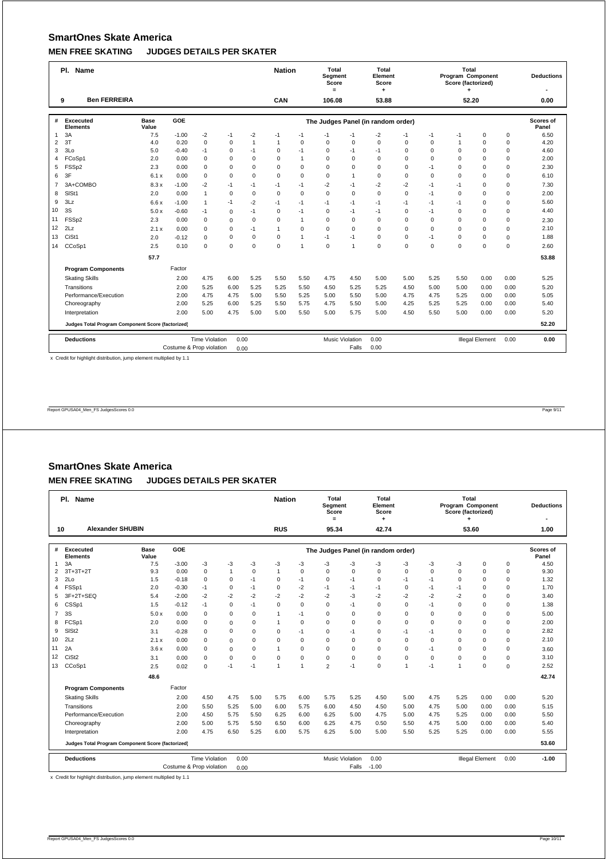|                                  | Pl. Name                                          |                      | <b>Nation</b> |                       | Total<br><b>Segment</b><br>Score<br>$=$ |             | Total<br>Element<br>Score |              |             | Total<br>Program Component<br>Score (factorized) |                                    |             | <b>Deductions</b> |                |                        |             |                    |
|----------------------------------|---------------------------------------------------|----------------------|---------------|-----------------------|-----------------------------------------|-------------|---------------------------|--------------|-------------|--------------------------------------------------|------------------------------------|-------------|-------------------|----------------|------------------------|-------------|--------------------|
|                                  | <b>Ben FERREIRA</b><br>9                          |                      |               |                       |                                         |             | CAN                       |              | 106.08      |                                                  | 53.88                              |             |                   | 52.20          |                        |             | 0.00               |
| #                                | Excecuted<br><b>Elements</b>                      | <b>Base</b><br>Value | GOE           |                       |                                         |             |                           |              |             |                                                  | The Judges Panel (in random order) |             |                   |                |                        |             | Scores of<br>Panel |
| 1                                | 3A                                                | 7.5                  | $-1.00$       | $-2$                  | $-1$                                    | $-2$        | $-1$                      | $-1$         | $-1$        | $-1$                                             | $-2$                               | $-1$        | $-1$              | $-1$           | $\mathbf 0$            | $\mathbf 0$ | 6.50               |
| 2                                | 3T                                                | 4.0                  | 0.20          | $\mathbf 0$           | $\mathbf 0$                             | 1           | $\mathbf{1}$              | 0            | $\mathbf 0$ | $\mathbf 0$                                      | $\mathbf 0$                        | $\mathbf 0$ | 0                 | $\overline{1}$ | $\mathbf 0$            | $\mathbf 0$ | 4.20               |
| 3                                | 3Lo                                               | 5.0                  | $-0.40$       | $-1$                  | $\mathbf 0$                             | $-1$        | $\mathbf 0$               | $-1$         | $\mathbf 0$ | $-1$                                             | $-1$                               | $\mathbf 0$ | 0                 | $\Omega$       | $\mathbf 0$            | $\mathbf 0$ | 4.60               |
| 4                                | FCoSp1                                            | 2.0                  | 0.00          | $\mathbf 0$           | $\mathbf 0$                             | $\Omega$    | $\Omega$                  | $\mathbf{1}$ | $\mathbf 0$ | $\Omega$                                         | $\Omega$                           | $\Omega$    | $\Omega$          | $\Omega$       | $\Omega$               | $\mathbf 0$ | 2.00               |
| 5                                | FSSp2                                             | 2.3                  | 0.00          | $\Omega$              | $\mathbf 0$                             | $\Omega$    | $\Omega$                  | $\Omega$     | $\Omega$    | $\Omega$                                         | $\Omega$                           | $\Omega$    | $-1$              | $\Omega$       | $\Omega$               | $\mathbf 0$ | 2.30               |
| 6                                | 3F                                                | 6.1x                 | 0.00          | $\mathbf 0$           | $\mathbf 0$                             | $\Omega$    | $\Omega$                  | $\mathbf 0$  | $\mathbf 0$ | $\mathbf{1}$                                     | $\mathbf 0$                        | $\Omega$    | $\Omega$          | $\Omega$       | $\Omega$               | $\mathbf 0$ | 6.10               |
| 7                                | 3A+COMBO                                          | 8.3x                 | $-1.00$       | $-2$                  | $-1$                                    | $-1$        | $-1$                      | $-1$         | $-2$        | $-1$                                             | $-2$                               | $-2$        | $-1$              | $-1$           | $\Omega$               | $\mathsf 0$ | 7.30               |
| 8                                | SISt1                                             | 2.0                  | 0.00          | $\mathbf{1}$          | $\mathbf 0$                             | $\mathbf 0$ | $\mathbf 0$               | 0            | $\mathbf 0$ | $\mathbf 0$                                      | $\mathbf 0$                        | $\mathbf 0$ | $-1$              | $\Omega$       | $\Omega$               | $\mathsf 0$ | 2.00               |
| 9                                | 3Lz                                               | 6.6x                 | $-1.00$       | $\mathbf{1}$          | $-1$                                    | $-2$        | $-1$                      | $-1$         | $-1$        | $-1$                                             | $-1$                               | $-1$        | $-1$              | $-1$           | $\Omega$               | $\mathbf 0$ | 5.60               |
| 10                               | 3S                                                | 5.0x                 | $-0.60$       | $-1$                  | $\mathbf 0$                             | $-1$        | $\Omega$                  | $-1$         | $\mathbf 0$ | $-1$                                             | $-1$                               | $\Omega$    | $-1$              | $\Omega$       | $\Omega$               | $\mathbf 0$ | 4.40               |
| 11                               | FSSp2                                             | 2.3                  | 0.00          | $\mathbf 0$           | $\Omega$                                | $\mathbf 0$ | $\Omega$                  | $\mathbf{1}$ | $\mathbf 0$ | $\mathbf 0$                                      | $\mathbf 0$                        | $\Omega$    | $\Omega$          | $\Omega$       | $\Omega$               | $\mathbf 0$ | 2.30               |
| 12                               | 2Lz                                               | 2.1x                 | 0.00          | $\mathbf 0$           | $\mathbf 0$                             | $-1$        | $\mathbf{1}$              | $\mathbf 0$  | $\mathbf 0$ | $\mathbf 0$                                      | $\mathbf 0$                        | $\mathbf 0$ | $\mathbf 0$       | $\Omega$       | $\mathbf 0$            | $\mathbf 0$ | 2.10               |
| 13                               | CiSt1                                             | 2.0                  | $-0.12$       | $\Omega$              | $\mathbf 0$                             | $\mathbf 0$ | $\Omega$                  | $\mathbf{1}$ | $-1$        | $-1$                                             | $\Omega$                           | $\mathbf 0$ | $-1$              | $\Omega$       | $\Omega$               | $\mathbf 0$ | 1.88               |
| 14                               | CCoSp1                                            | 2.5                  | 0.10          | $\mathbf 0$           | $\Omega$                                | $\Omega$    | $\Omega$                  | 1            | $\mathbf 0$ | $\mathbf{1}$                                     | $\Omega$                           | $\Omega$    | $\Omega$          | $\Omega$       | $\Omega$               | $\mathbf 0$ | 2.60               |
|                                  |                                                   | 57.7                 |               |                       |                                         |             |                           |              |             |                                                  |                                    |             |                   |                |                        |             | 53.88              |
|                                  | <b>Program Components</b>                         |                      | Factor        |                       |                                         |             |                           |              |             |                                                  |                                    |             |                   |                |                        |             |                    |
|                                  | <b>Skating Skills</b>                             |                      | 2.00          | 4.75                  | 6.00                                    | 5.25        | 5.50                      | 5.50         | 4.75        | 4.50                                             | 5.00                               | 5.00        | 5.25              | 5.50           | 0.00                   | 0.00        | 5.25               |
|                                  | Transitions                                       |                      | 2.00          | 5.25                  | 6.00                                    | 5.25        | 5.25                      | 5.50         | 4.50        | 5.25                                             | 5.25                               | 4.50        | 5.00              | 5.00           | 0.00                   | 0.00        | 5.20               |
|                                  | Performance/Execution                             |                      | 2.00          | 4.75                  | 4.75                                    | 5.00        | 5.50                      | 5.25         | 5.00        | 5.50                                             | 5.00                               | 4.75        | 4.75              | 5.25           | 0.00                   | 0.00        | 5.05               |
|                                  | Choreography                                      |                      | 2.00          | 5.25                  | 6.00                                    | 5.25        | 5.50                      | 5.75         | 4.75        | 5.50                                             | 5.00                               | 4.25        | 5.25              | 5.25           | 0.00                   | 0.00        | 5.40               |
|                                  | Interpretation                                    |                      | 2.00          | 5.00                  | 4.75                                    | 5.00        | 5.00                      | 5.50         | 5.00        | 5.75                                             | 5.00                               | 4.50        | 5.50              | 5.00           | 0.00                   | 0.00        | 5.20               |
|                                  | Judges Total Program Component Score (factorized) |                      |               |                       |                                         |             |                           |              |             |                                                  |                                    |             | 52.20             |                |                        |             |                    |
|                                  | <b>Deductions</b>                                 |                      |               | <b>Time Violation</b> | 0.00                                    |             |                           |              |             | <b>Music Violation</b>                           | 0.00                               |             |                   |                | <b>Illegal Element</b> | 0.00        | 0.00               |
| Costume & Prop violation<br>0.00 |                                                   |                      |               |                       |                                         |             |                           |              |             | Falls                                            | 0.00                               |             |                   |                |                        |             |                    |

x Credit for highlight distribution, jump element multiplied by 1.1

Report GPUSA04\_Men\_FS JudgesScores 0.0 Page 9/11

# **SmartOnes Skate America MEN FREE SKATING JUDGES DETAILS PER SKATER**

|                | <b>Name</b><br>PI.                                |                      | <b>Nation</b>            |                       | Total<br>Segment<br>Score<br>$=$ |             | Total<br>Element<br>Score<br>٠ |             |                        | Total<br><b>Program Component</b><br>Score (factorized)<br>٠ |                                    |              | <b>Deductions</b> |                |                        |          |                    |
|----------------|---------------------------------------------------|----------------------|--------------------------|-----------------------|----------------------------------|-------------|--------------------------------|-------------|------------------------|--------------------------------------------------------------|------------------------------------|--------------|-------------------|----------------|------------------------|----------|--------------------|
| 10             | <b>Alexander SHUBIN</b>                           |                      |                          |                       |                                  |             | <b>RUS</b>                     |             | 95.34                  |                                                              | 42.74                              |              |                   | 53.60          |                        |          | 1.00               |
|                |                                                   |                      |                          |                       |                                  |             |                                |             |                        |                                                              |                                    |              |                   |                |                        |          |                    |
| #              | Excecuted<br><b>Elements</b>                      | <b>Base</b><br>Value | GOE                      |                       |                                  |             |                                |             |                        |                                                              | The Judges Panel (in random order) |              |                   |                |                        |          | Scores of<br>Panel |
| $\mathbf{1}$   | 3A                                                | 7.5                  | $-3.00$                  | -3                    | -3                               | -3          | -3                             | -3          | -3                     | $-3$                                                         | -3                                 | -3           | -3                | -3             | 0                      | 0        | 4.50               |
| $\overline{2}$ | $3T+3T+2T$                                        | 9.3                  | 0.00                     | $\mathbf 0$           | $\mathbf{1}$                     | $\mathbf 0$ | $\mathbf{1}$                   | $\mathbf 0$ | $\mathbf 0$            | $\mathbf 0$                                                  | $\Omega$                           | $\mathbf 0$  | $\mathbf 0$       | $\Omega$       | $\mathbf 0$            | 0        | 9.30               |
| 3              | 2 <sub>0</sub>                                    | 1.5                  | $-0.18$                  | 0                     | $\mathbf 0$                      | $-1$        | $\mathbf 0$                    | $-1$        | $\mathbf 0$            | $-1$                                                         | $\Omega$                           | $-1$         | $-1$              | $\Omega$       | 0                      | 0        | 1.32               |
| 4              | FSSp1                                             | 2.0                  | $-0.30$                  | $-1$                  | 0                                | $-1$        | $\mathbf 0$                    | $-2$        | $-1$                   | $-1$                                                         | $-1$                               | $\Omega$     | $-1$              | $-1$           | $\mathbf 0$            | 0        | 1.70               |
| 5              | 3F+2T+SEQ                                         | 5.4                  | $-2.00$                  | $-2$                  | $-2$                             | $-2$        | $-2$                           | $-2$        | $-2$                   | $-3$                                                         | $-2$                               | $-2$         | $-2$              | $-2$           | $\Omega$               | 0        | 3.40               |
| 6              | CSSp1                                             | 1.5                  | $-0.12$                  | $-1$                  | $\mathbf 0$                      | $-1$        | $\mathbf 0$                    | 0           | $\mathbf 0$            | $-1$                                                         | $\mathbf 0$                        | $\mathbf 0$  | $-1$              | $\Omega$       | 0                      | 0        | 1.38               |
| $\overline{7}$ | 3S                                                | 5.0x                 | 0.00                     | $\mathbf 0$           | $\mathbf 0$                      | $\Omega$    | $\mathbf{1}$                   | $-1$        | $\mathbf 0$            | $\mathbf 0$                                                  | $\Omega$                           | $\Omega$     | $\Omega$          | $\Omega$       | $\Omega$               | 0        | 5.00               |
| 8              | FCSp1                                             | 2.0                  | 0.00                     | $\mathbf 0$           | $\mathbf 0$                      | $\mathbf 0$ | $\mathbf{1}$                   | 0           | $\mathbf 0$            | $\mathbf 0$                                                  | $\Omega$                           | $\Omega$     | $\Omega$          | $\Omega$       | $\Omega$               | 0        | 2.00               |
| 9              | SIS <sub>t2</sub>                                 | 3.1                  | $-0.28$                  | $\mathbf 0$           | $\mathbf 0$                      | $\mathbf 0$ | $\mathbf 0$                    | $-1$        | $\mathbf 0$            | $-1$                                                         | $\mathbf 0$                        | $-1$         | $-1$              | 0              | 0                      | 0        | 2.82               |
| 10             | 2Lz                                               | 2.1x                 | 0.00                     | $\Omega$              | $\Omega$                         | $\Omega$    | $\Omega$                       | $\Omega$    | $\Omega$               | $\Omega$                                                     | $\Omega$                           | $\Omega$     | $\Omega$          | $\Omega$       | $\Omega$               | 0        | 2.10               |
| 11             | 2A                                                | 3.6x                 | 0.00                     | $\mathbf 0$           | $\mathbf 0$                      | $\mathbf 0$ | $\mathbf{1}$                   | 0           | $\mathbf 0$            | $\mathbf 0$                                                  | $\Omega$                           | $\Omega$     | $-1$              | $\Omega$       | $\Omega$               | 0        | 3.60               |
| 12             | CiSt <sub>2</sub>                                 | 3.1                  | 0.00                     | 0                     | 0                                | $\mathbf 0$ | $\mathbf 0$                    | $\mathbf 0$ | $\mathbf 0$            | $\mathbf 0$                                                  | $\mathbf 0$                        | $\mathbf 0$  | $\mathbf 0$       | 0              | 0                      | 0        | 3.10               |
| 13             | CCoSp1                                            | 2.5                  | 0.02                     | $\Omega$              | $-1$                             | $-1$        | $\mathbf{1}$                   | 1           | $\overline{2}$         | $-1$                                                         | $\Omega$                           | $\mathbf{1}$ | $-1$              | $\overline{1}$ | $\Omega$               | $\Omega$ | 2.52               |
|                |                                                   | 48.6                 |                          |                       |                                  |             |                                |             |                        |                                                              |                                    |              |                   |                |                        |          | 42.74              |
|                | <b>Program Components</b>                         |                      | Factor                   |                       |                                  |             |                                |             |                        |                                                              |                                    |              |                   |                |                        |          |                    |
|                | <b>Skating Skills</b>                             |                      | 2.00                     | 4.50                  | 4.75                             | 5.00        | 5.75                           | 6.00        | 5.75                   | 5.25                                                         | 4.50                               | 5.00         | 4.75              | 5.25           | 0.00                   | 0.00     | 5.20               |
|                | Transitions                                       |                      | 2.00                     | 5.50                  | 5.25                             | 5.00        | 6.00                           | 5.75        | 6.00                   | 4.50                                                         | 4.50                               | 5.00         | 4.75              | 5.00           | 0.00                   | 0.00     | 5.15               |
|                | Performance/Execution                             |                      | 2.00                     | 4.50                  | 5.75                             | 5.50        | 6.25                           | 6.00        | 6.25                   | 5.00                                                         | 4.75                               | 5.00         | 4.75              | 5.25           | 0.00                   | 0.00     | 5.50               |
|                | Choreography                                      |                      | 2.00                     | 5.00                  | 5.75                             | 5.50        | 6.50                           | 6.00        | 6.25                   | 4.75                                                         | 0.50                               | 5.50         | 4.75              | 5.00           | 0.00                   | 0.00     | 5.40               |
|                | Interpretation                                    |                      | 2.00                     | 4.75                  | 6.50                             | 5.25        | 6.00                           | 5.75        | 6.25                   | 5.00                                                         | 5.00                               | 5.50         | 5.25              | 5.25           | 0.00                   | 0.00     | 5.55               |
|                | Judges Total Program Component Score (factorized) |                      |                          |                       |                                  |             |                                |             |                        |                                                              |                                    |              |                   |                |                        |          | 53.60              |
|                | <b>Deductions</b>                                 |                      |                          | <b>Time Violation</b> | 0.00                             |             |                                |             | <b>Music Violation</b> |                                                              | 0.00                               |              |                   |                | <b>Illegal Element</b> | 0.00     | $-1.00$            |
|                |                                                   |                      | Costume & Prop violation |                       | 0.00                             |             |                                |             |                        | Falls                                                        | $-1.00$                            |              |                   |                |                        |          |                    |